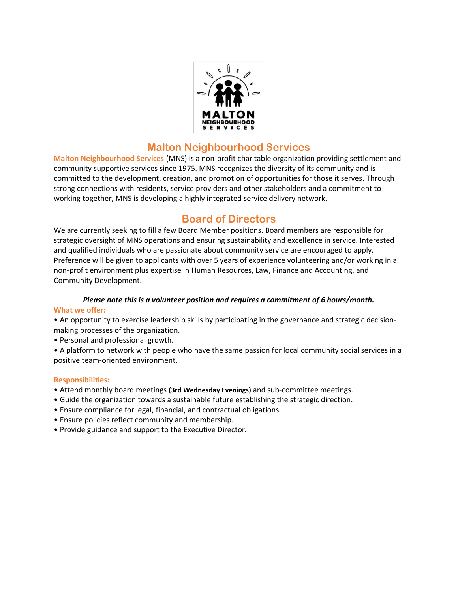

### **Malton Neighbourhood Services**

**Malton Neighbourhood Services** (MNS) is a non-profit charitable organization providing settlement and community supportive services since 1975. MNS recognizes the diversity of its community and is committed to the development, creation, and promotion of opportunities for those it serves. Through strong connections with residents, service providers and other stakeholders and a commitment to working together, MNS is developing a highly integrated service delivery network.

## **Board of Directors**

We are currently seeking to fill a few Board Member positions. Board members are responsible for strategic oversight of MNS operations and ensuring sustainability and excellence in service. Interested and qualified individuals who are passionate about community service are encouraged to apply. Preference will be given to applicants with over 5 years of experience volunteering and/or working in a non-profit environment plus expertise in Human Resources, Law, Finance and Accounting, and Community Development.

# *Please note this is a volunteer position and requires a commitment of 6 hours/month.*

#### **What we offer:**

• An opportunity to exercise leadership skills by participating in the governance and strategic decisionmaking processes of the organization.

• Personal and professional growth.

• A platform to network with people who have the same passion for local community social services in a positive team-oriented environment.

#### **Responsibilities:**

- Attend monthly board meetings **(3rd Wednesday Evenings)** and sub-committee meetings.
- Guide the organization towards a sustainable future establishing the strategic direction.
- Ensure compliance for legal, financial, and contractual obligations.
- Ensure policies reflect community and membership.
- Provide guidance and support to the Executive Director.